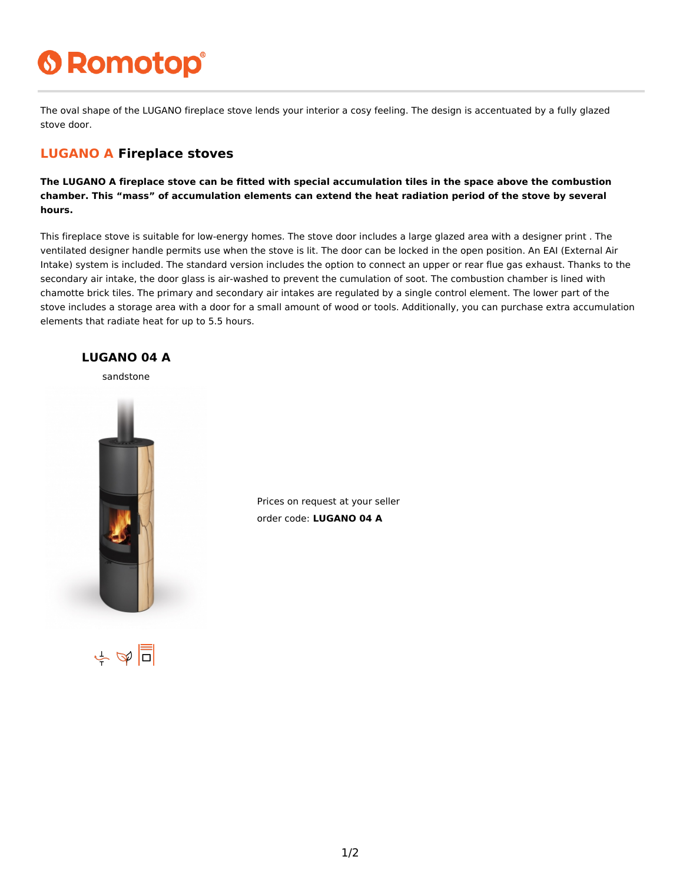# **6 Romotop®**

The oval shape of the LUGANO fireplace stove lends your interior a cosy feeling. The design is accentuated by a fully glazed stove door.

#### **LUGANO A Fireplace stoves**

**The LUGANO A fireplace stove can be fitted with special accumulation tiles in the space above the combustion chamber. This "mass" of accumulation elements can extend the heat radiation period of the stove by several hours.**

This fireplace stove is suitable for low-energy homes. The stove door includes a large glazed area with a designer print . The ventilated designer handle permits use when the stove is lit. The door can be locked in the open position. An EAI (External Air Intake) system is included. The standard version includes the option to connect an upper or rear flue gas exhaust. Thanks to the secondary air intake, the door glass is air-washed to prevent the cumulation of soot. The combustion chamber is lined with chamotte brick tiles. The primary and secondary air intakes are regulated by a single control element. The lower part of the stove includes a storage area with a door for a small amount of wood or tools. Additionally, you can purchase extra accumulation elements that radiate heat for up to 5.5 hours.



Prices on request at your seller order code: **LUGANO 04 A**

 $\frac{1}{2}$